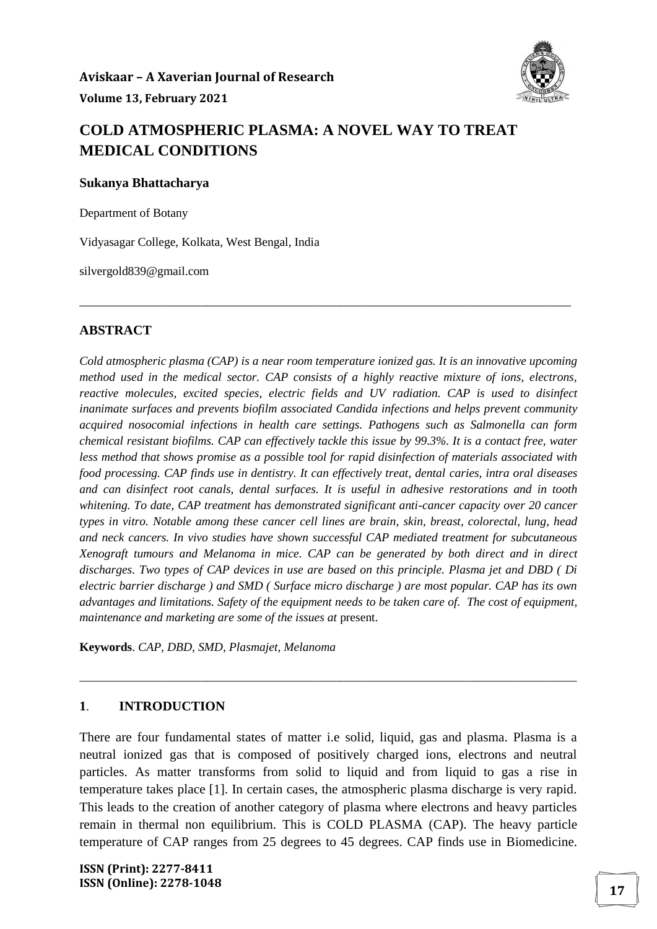

## **COLD ATMOSPHERIC PLASMA: A NOVEL WAY TO TREAT MEDICAL CONDITIONS**

#### **Sukanya Bhattacharya**

Department of Botany

Vidyasagar College, Kolkata, West Bengal, India

silvergold839@gmail.com

#### **ABSTRACT**

*Cold atmospheric plasma (CAP) is a near room temperature ionized gas. It is an innovative upcoming method used in the medical sector. CAP consists of a highly reactive mixture of ions, electrons, reactive molecules, excited species, electric fields and UV radiation. CAP is used to disinfect inanimate surfaces and prevents biofilm associated Candida infections and helps prevent community acquired nosocomial infections in health care settings. Pathogens such as Salmonella can form chemical resistant biofilms. CAP can effectively tackle this issue by 99.3%. It is a contact free, water less method that shows promise as a possible tool for rapid disinfection of materials associated with food processing. CAP finds use in dentistry. It can effectively treat, dental caries, intra oral diseases and can disinfect root canals, dental surfaces. It is useful in adhesive restorations and in tooth whitening. To date, CAP treatment has demonstrated significant anti-cancer capacity over 20 cancer types in vitro. Notable among these cancer cell lines are brain, skin, breast, colorectal, lung, head and neck cancers. In vivo studies have shown successful CAP mediated treatment for subcutaneous Xenograft tumours and Melanoma in mice. CAP can be generated by both direct and in direct discharges. Two types of CAP devices in use are based on this principle. Plasma jet and DBD ( Di electric barrier discharge ) and SMD ( Surface micro discharge ) are most popular. CAP has its own advantages and limitations. Safety of the equipment needs to be taken care of. The cost of equipment, maintenance and marketing are some of the issues at* present.

\_\_\_\_\_\_\_\_\_\_\_\_\_\_\_\_\_\_\_\_\_\_\_\_\_\_\_\_\_\_\_\_\_\_\_\_\_\_\_\_\_\_\_\_\_\_\_\_\_\_\_\_\_\_\_\_\_\_\_\_\_\_\_\_\_\_\_\_\_\_\_\_\_\_\_\_\_\_\_\_\_

**Keywords**. *CAP, DBD, SMD, Plasmajet, Melanoma*

#### **1**. **INTRODUCTION**

There are four fundamental states of matter i.e solid, liquid, gas and plasma. Plasma is a neutral ionized gas that is composed of positively charged ions, electrons and neutral particles. As matter transforms from solid to liquid and from liquid to gas a rise in temperature takes place [1]. In certain cases, the atmospheric plasma discharge is very rapid. This leads to the creation of another category of plasma where electrons and heavy particles remain in thermal non equilibrium. This is COLD PLASMA (CAP). The heavy particle temperature of CAP ranges from 25 degrees to 45 degrees. CAP finds use in Biomedicine.

\_\_\_\_\_\_\_\_\_\_\_\_\_\_\_\_\_\_\_\_\_\_\_\_\_\_\_\_\_\_\_\_\_\_\_\_\_\_\_\_\_\_\_\_\_\_\_\_\_\_\_\_\_\_\_\_\_\_\_\_\_\_\_\_\_\_\_\_\_\_\_\_\_\_\_\_\_\_\_\_\_\_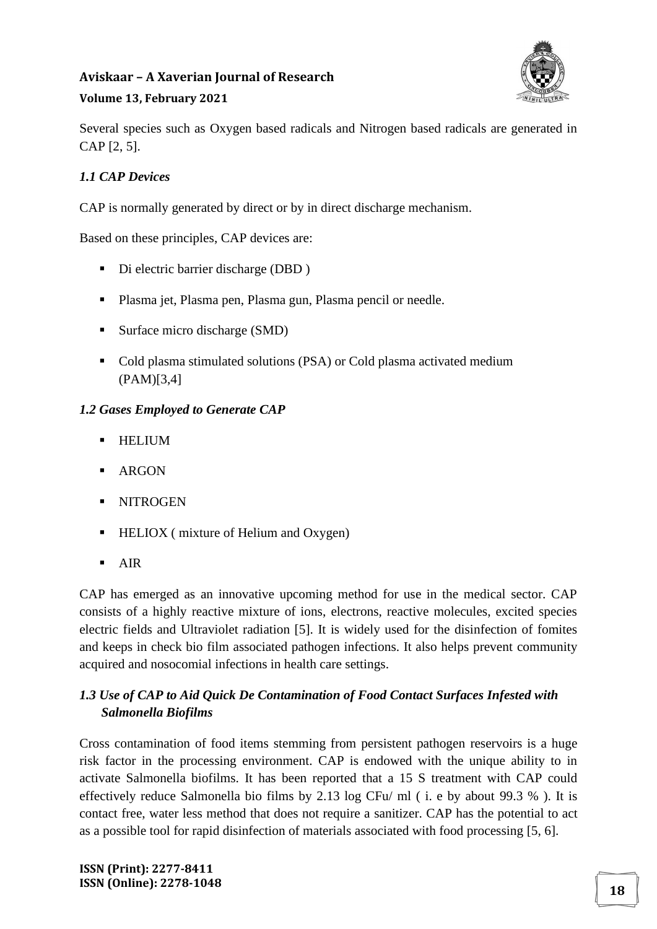

#### **Volume 13, February 2021**

Several species such as Oxygen based radicals and Nitrogen based radicals are generated in CAP [2, 5].

#### *1.1 CAP Devices*

CAP is normally generated by direct or by in direct discharge mechanism.

Based on these principles, CAP devices are:

- Di electric barrier discharge (DBD)
- Plasma jet, Plasma pen, Plasma gun, Plasma pencil or needle.
- Surface micro discharge (SMD)
- Cold plasma stimulated solutions (PSA) or Cold plasma activated medium (PAM)[3,4]

#### *1.2 Gases Employed to Generate CAP*

- **HELIUM**
- **ARGON**
- **NITROGEN**
- HELIOX (mixture of Helium and Oxygen)
- AIR

CAP has emerged as an innovative upcoming method for use in the medical sector. CAP consists of a highly reactive mixture of ions, electrons, reactive molecules, excited species electric fields and Ultraviolet radiation [5]. It is widely used for the disinfection of fomites and keeps in check bio film associated pathogen infections. It also helps prevent community acquired and nosocomial infections in health care settings.

## *1.3 Use of CAP to Aid Quick De Contamination of Food Contact Surfaces Infested with Salmonella Biofilms*

Cross contamination of food items stemming from persistent pathogen reservoirs is a huge risk factor in the processing environment. CAP is endowed with the unique ability to in activate Salmonella biofilms. It has been reported that a 15 S treatment with CAP could effectively reduce Salmonella bio films by 2.13 log CFu/ ml ( i. e by about 99.3 % ). It is contact free, water less method that does not require a sanitizer. CAP has the potential to act as a possible tool for rapid disinfection of materials associated with food processing [5, 6].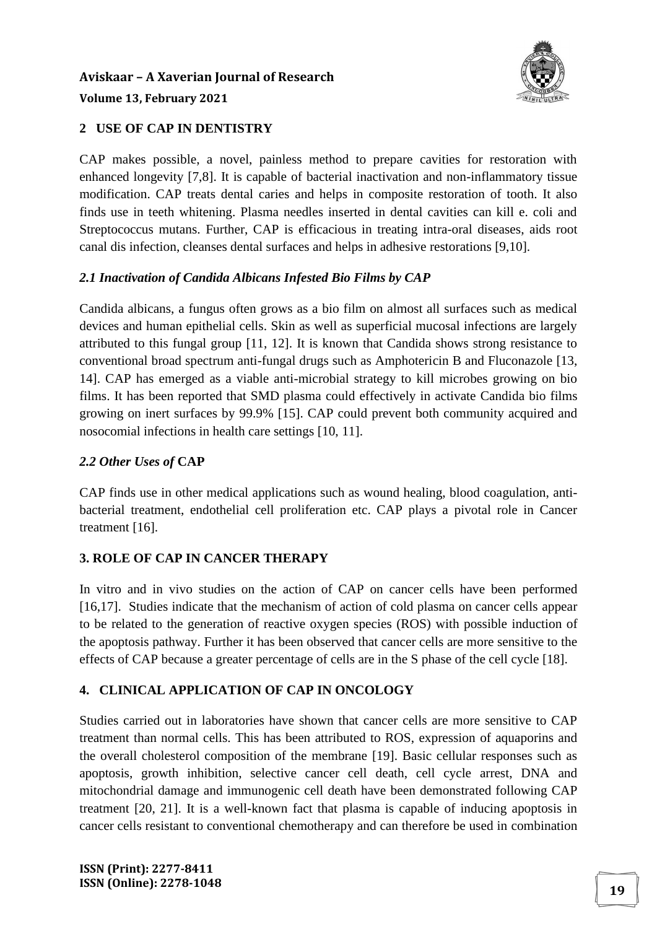# **Aviskaar – A Xaverian Journal of Research Volume 13, February 2021**



#### **2 USE OF CAP IN DENTISTRY**

CAP makes possible, a novel, painless method to prepare cavities for restoration with enhanced longevity [7,8]. It is capable of bacterial inactivation and non-inflammatory tissue modification. CAP treats dental caries and helps in composite restoration of tooth. It also finds use in teeth whitening. Plasma needles inserted in dental cavities can kill e. coli and Streptococcus mutans. Further, CAP is efficacious in treating intra-oral diseases, aids root canal dis infection, cleanses dental surfaces and helps in adhesive restorations [9,10].

#### *2.1 Inactivation of Candida Albicans Infested Bio Films by CAP*

Candida albicans, a fungus often grows as a bio film on almost all surfaces such as medical devices and human epithelial cells. Skin as well as superficial mucosal infections are largely attributed to this fungal group [11, 12]. It is known that Candida shows strong resistance to conventional broad spectrum anti-fungal drugs such as Amphotericin B and Fluconazole [13, 14]. CAP has emerged as a viable anti-microbial strategy to kill microbes growing on bio films. It has been reported that SMD plasma could effectively in activate Candida bio films growing on inert surfaces by 99.9% [15]. CAP could prevent both community acquired and nosocomial infections in health care settings [10, 11].

#### *2.2 Other Uses of* **CAP**

CAP finds use in other medical applications such as wound healing, blood coagulation, antibacterial treatment, endothelial cell proliferation etc. CAP plays a pivotal role in Cancer treatment [16].

## **3. ROLE OF CAP IN CANCER THERAPY**

In vitro and in vivo studies on the action of CAP on cancer cells have been performed [16,17]. Studies indicate that the mechanism of action of cold plasma on cancer cells appear to be related to the generation of reactive oxygen species (ROS) with possible induction of the apoptosis pathway. Further it has been observed that cancer cells are more sensitive to the effects of CAP because a greater percentage of cells are in the S phase of the cell cycle [18].

## **4. CLINICAL APPLICATION OF CAP IN ONCOLOGY**

Studies carried out in laboratories have shown that cancer cells are more sensitive to CAP treatment than normal cells. This has been attributed to ROS, expression of aquaporins and the overall cholesterol composition of the membrane [19]. Basic cellular responses such as apoptosis, growth inhibition, selective cancer cell death, cell cycle arrest, DNA and mitochondrial damage and immunogenic cell death have been demonstrated following CAP treatment [20, 21]. It is a well-known fact that plasma is capable of inducing apoptosis in cancer cells resistant to conventional chemotherapy and can therefore be used in combination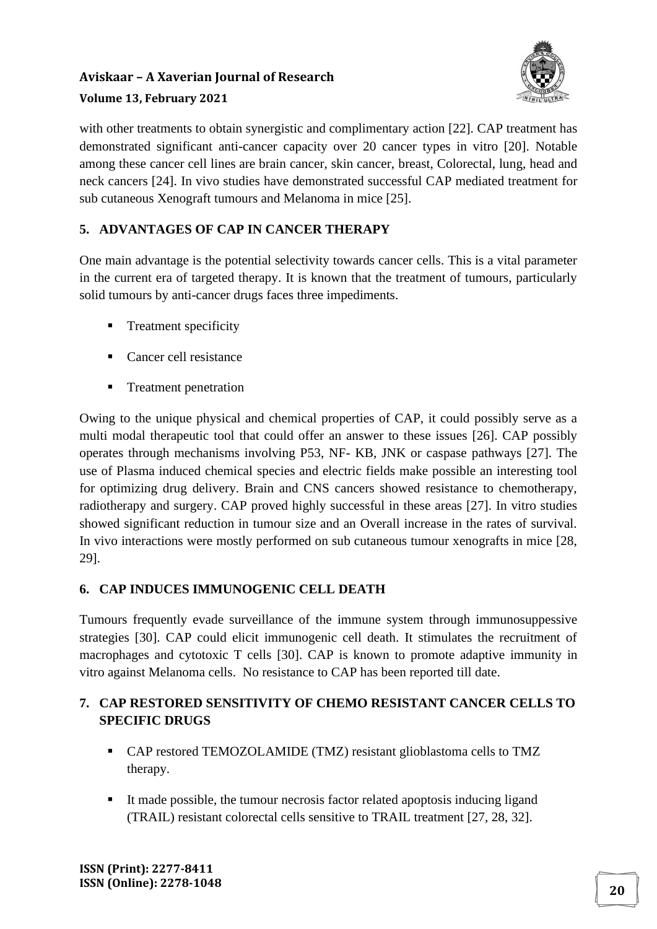

#### **Volume 13, February 2021**

with other treatments to obtain synergistic and complimentary action [22]. CAP treatment has demonstrated significant anti-cancer capacity over 20 cancer types in vitro [20]. Notable among these cancer cell lines are brain cancer, skin cancer, breast, Colorectal, lung, head and neck cancers [24]. In vivo studies have demonstrated successful CAP mediated treatment for sub cutaneous Xenograft tumours and Melanoma in mice [25].

## **5. ADVANTAGES OF CAP IN CANCER THERAPY**

One main advantage is the potential selectivity towards cancer cells. This is a vital parameter in the current era of targeted therapy. It is known that the treatment of tumours, particularly solid tumours by anti-cancer drugs faces three impediments.

- **•** Treatment specificity
- Cancer cell resistance
- **Treatment penetration**

Owing to the unique physical and chemical properties of CAP, it could possibly serve as a multi modal therapeutic tool that could offer an answer to these issues [26]. CAP possibly operates through mechanisms involving P53, NF- KB, JNK or caspase pathways [27]. The use of Plasma induced chemical species and electric fields make possible an interesting tool for optimizing drug delivery. Brain and CNS cancers showed resistance to chemotherapy, radiotherapy and surgery. CAP proved highly successful in these areas [27]. In vitro studies showed significant reduction in tumour size and an Overall increase in the rates of survival. In vivo interactions were mostly performed on sub cutaneous tumour xenografts in mice [28, 29].

## **6. CAP INDUCES IMMUNOGENIC CELL DEATH**

Tumours frequently evade surveillance of the immune system through immunosuppessive strategies [30]. CAP could elicit immunogenic cell death. It stimulates the recruitment of macrophages and cytotoxic T cells [30]. CAP is known to promote adaptive immunity in vitro against Melanoma cells. No resistance to CAP has been reported till date.

## **7. CAP RESTORED SENSITIVITY OF CHEMO RESISTANT CANCER CELLS TO SPECIFIC DRUGS**

- CAP restored TEMOZOLAMIDE (TMZ) resistant glioblastoma cells to TMZ therapy.
- It made possible, the tumour necrosis factor related apoptosis inducing ligand (TRAIL) resistant colorectal cells sensitive to TRAIL treatment [27, 28, 32].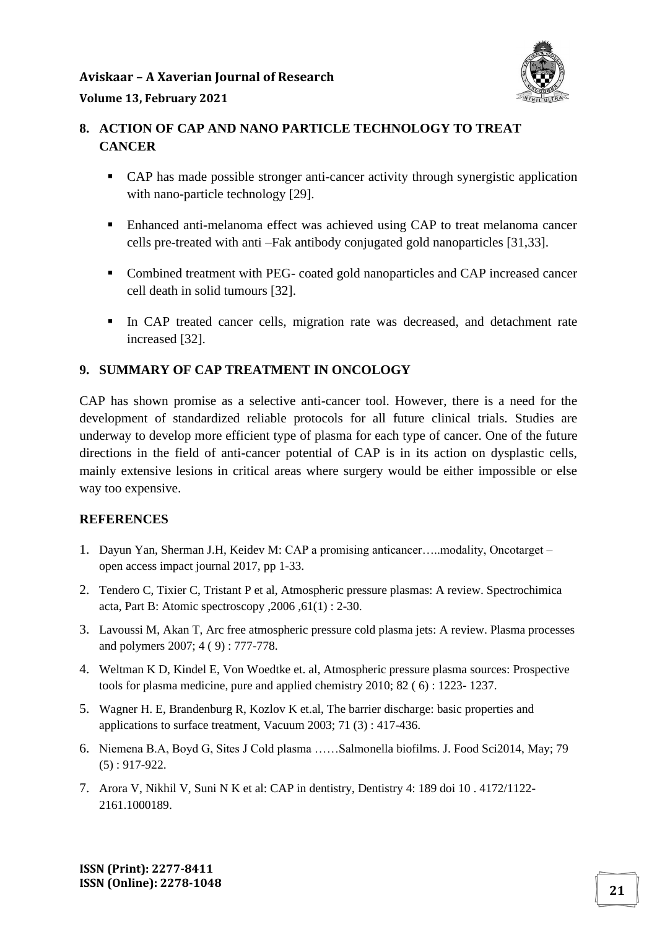

## **8. ACTION OF CAP AND NANO PARTICLE TECHNOLOGY TO TREAT CANCER**

- CAP has made possible stronger anti-cancer activity through synergistic application with nano-particle technology [29].
- Enhanced anti-melanoma effect was achieved using CAP to treat melanoma cancer cells pre-treated with anti –Fak antibody conjugated gold nanoparticles [31,33].
- Combined treatment with PEG- coated gold nanoparticles and CAP increased cancer cell death in solid tumours [32].
- In CAP treated cancer cells, migration rate was decreased, and detachment rate increased [32].

## **9. SUMMARY OF CAP TREATMENT IN ONCOLOGY**

CAP has shown promise as a selective anti-cancer tool. However, there is a need for the development of standardized reliable protocols for all future clinical trials. Studies are underway to develop more efficient type of plasma for each type of cancer. One of the future directions in the field of anti-cancer potential of CAP is in its action on dysplastic cells, mainly extensive lesions in critical areas where surgery would be either impossible or else way too expensive.

## **REFERENCES**

- 1. Dayun Yan, Sherman J.H, Keidev M: CAP a promising anticancer…..modality, Oncotarget open access impact journal 2017, pp 1-33.
- 2. Tendero C, Tixier C, Tristant P et al, Atmospheric pressure plasmas: A review. Spectrochimica acta, Part B: Atomic spectroscopy ,2006 ,61(1) : 2-30.
- 3. Lavoussi M, Akan T, Arc free atmospheric pressure cold plasma jets: A review. Plasma processes and polymers 2007; 4 ( 9) : 777-778.
- 4. Weltman K D, Kindel E, Von Woedtke et. al, Atmospheric pressure plasma sources: Prospective tools for plasma medicine, pure and applied chemistry 2010; 82 ( 6) : 1223- 1237.
- 5. Wagner H. E, Brandenburg R, Kozlov K et.al, The barrier discharge: basic properties and applications to surface treatment, Vacuum 2003; 71 (3) : 417-436.
- 6. Niemena B.A, Boyd G, Sites J Cold plasma ……Salmonella biofilms. J. Food Sci2014, May; 79 (5) : 917-922.
- 7. Arora V, Nikhil V, Suni N K et al: CAP in dentistry, Dentistry 4: 189 doi 10 . 4172/1122- 2161.1000189.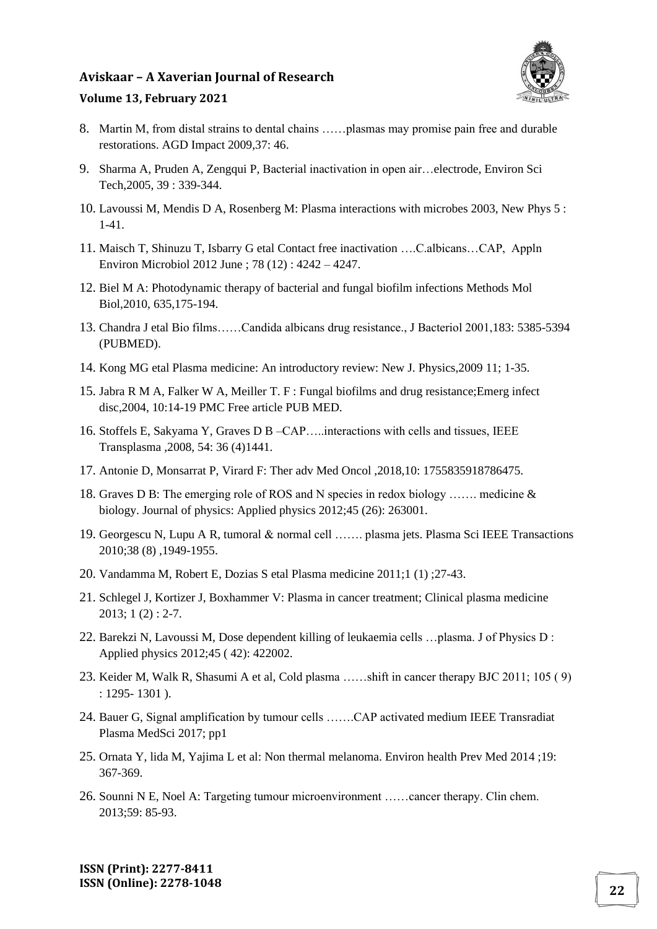

#### **Volume 13, February 2021**

- 8. Martin M, from distal strains to dental chains ……plasmas may promise pain free and durable restorations. AGD Impact 2009,37: 46.
- 9. Sharma A, Pruden A, Zengqui P, Bacterial inactivation in open air…electrode, Environ Sci Tech,2005, 39 : 339-344.
- 10. Lavoussi M, Mendis D A, Rosenberg M: Plasma interactions with microbes 2003, New Phys 5 : 1-41.
- 11. Maisch T, Shinuzu T, Isbarry G etal Contact free inactivation ….C.albicans…CAP, Appln Environ Microbiol 2012 June ; 78 (12) : 4242 – 4247.
- 12. Biel M A: Photodynamic therapy of bacterial and fungal biofilm infections Methods Mol Biol,2010, 635,175-194.
- 13. Chandra J etal Bio films……Candida albicans drug resistance., J Bacteriol 2001,183: 5385-5394 (PUBMED).
- 14. Kong MG etal Plasma medicine: An introductory review: New J. Physics,2009 11; 1-35.
- 15. Jabra R M A, Falker W A, Meiller T. F : Fungal biofilms and drug resistance;Emerg infect disc,2004, 10:14-19 PMC Free article PUB MED.
- 16. Stoffels E, Sakyama Y, Graves D B –CAP…..interactions with cells and tissues, IEEE Transplasma ,2008, 54: 36 (4)1441.
- 17. Antonie D, Monsarrat P, Virard F: Ther adv Med Oncol ,2018,10: 1755835918786475.
- 18. Graves D B: The emerging role of ROS and N species in redox biology ……. medicine & biology. Journal of physics: Applied physics 2012;45 (26): 263001.
- 19. Georgescu N, Lupu A R, tumoral & normal cell ……. plasma jets. Plasma Sci IEEE Transactions 2010;38 (8) ,1949-1955.
- 20. Vandamma M, Robert E, Dozias S etal Plasma medicine 2011;1 (1) ;27-43.
- 21. Schlegel J, Kortizer J, Boxhammer V: Plasma in cancer treatment; Clinical plasma medicine  $2013$ ; 1 (2) : 2-7.
- 22. Barekzi N, Lavoussi M, Dose dependent killing of leukaemia cells …plasma. J of Physics D : Applied physics 2012;45 ( 42): 422002.
- 23. Keider M, Walk R, Shasumi A et al, Cold plasma ……shift in cancer therapy BJC 2011; 105 ( 9) : 1295- 1301 ).
- 24. Bauer G, Signal amplification by tumour cells …….CAP activated medium IEEE Transradiat Plasma MedSci 2017; pp1
- 25. Ornata Y, lida M, Yajima L et al: Non thermal melanoma. Environ health Prev Med 2014 ;19: 367-369.
- 26. Sounni N E, Noel A: Targeting tumour microenvironment ……cancer therapy. Clin chem. 2013;59: 85-93.

**ISSN (Print): 2277-8411 ISSN (Online): 2278-1048 <sup>22</sup>**